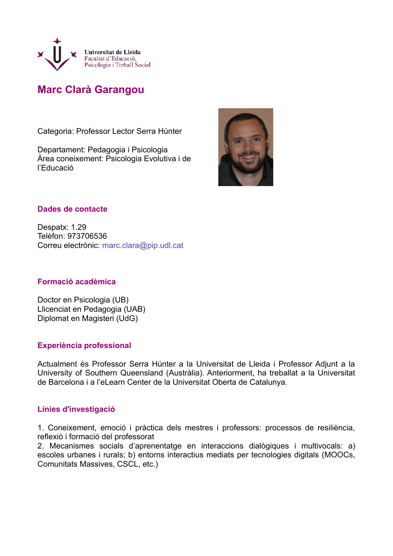

# **Marc Clarà Garangou**

Categoria: Professor Lector Serra Húnter

Departament: Pedagogia i Psicologia Àrea coneixement: Psicologia Evolutiva i de l'Educació



## **Dades de contacte**

Despatx: 1.29 Telèfon: 973706536 Correu electrònic: marc.clara@pip.udl.cat

## **Formació acadèmica**

Doctor en Psicologia (UB) Llicenciat en Pedagogia (UAB) Diplomat en Magisteri (UdG)

## **Experiència professional**

Actualment és Professor Serra Húnter a la Universitat de Lleida i Professor Adjunt a la University of Southern Queensland (Austràlia). Anteriorment, ha treballat a la Universitat de Barcelona i a l'eLearn Center de la Universitat Oberta de Catalunya.

## **Línies d'investigació**

1. Coneixement, emoció i pràctica dels mestres i professors: processos de resiliència, reflexió i formació del professorat

2. Mecanismes socials d'aprenentatge en interaccions dialògiques i multivocals: a) escoles urbanes i rurals; b) entorns interactius mediats per tecnologies digitals (MOOCs, Comunitats Massives, CSCL, etc.)